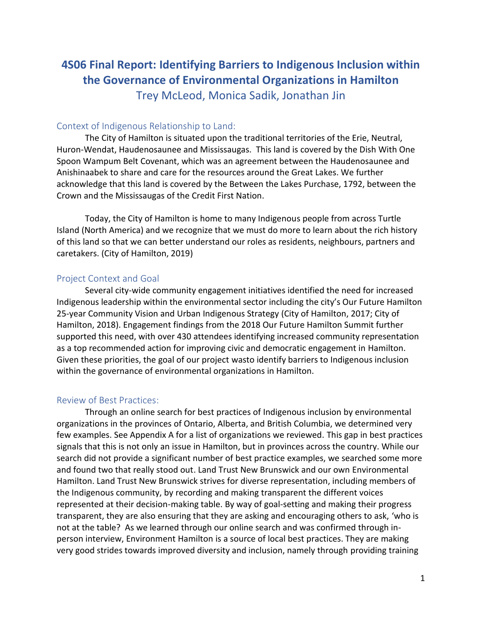# **4S06 Final Report: Identifying Barriers to Indigenous Inclusion within the Governance of Environmental Organizations in Hamilton**

Trey McLeod, Monica Sadik, Jonathan Jin

# Context of Indigenous Relationship to Land:

The City of Hamilton is situated upon the traditional territories of the Erie, Neutral, Huron-Wendat, Haudenosaunee and Mississaugas. This land is covered by the Dish With One Spoon Wampum Belt Covenant, which was an agreement between the Haudenosaunee and Anishinaabek to share and care for the resources around the Great Lakes. We further acknowledge that this land is covered by the Between the Lakes Purchase, 1792, between the Crown and the Mississaugas of the Credit First Nation.

Today, the City of Hamilton is home to many Indigenous people from across Turtle Island (North America) and we recognize that we must do more to learn about the rich history of this land so that we can better understand our roles as residents, neighbours, partners and caretakers. (City of Hamilton, 2019)

# Project Context and Goal

Several city-wide community engagement initiatives identified the need for increased Indigenous leadership within the environmental sector including the city's Our Future Hamilton 25-year Community Vision and Urban Indigenous Strategy (City of Hamilton, 2017; City of Hamilton, 2018). Engagement findings from the 2018 Our Future Hamilton Summit further supported this need, with over 430 attendees identifying increased community representation as a top recommended action for improving civic and democratic engagement in Hamilton. Given these priorities, the goal of our project wasto identify barriers to Indigenous inclusion within the governance of environmental organizations in Hamilton.

# Review of Best Practices:

Through an online search for best practices of Indigenous inclusion by environmental organizations in the provinces of Ontario, Alberta, and British Columbia, we determined very few examples. See Appendix A for a list of organizations we reviewed. This gap in best practices signals that this is not only an issue in Hamilton, but in provinces across the country. While our search did not provide a significant number of best practice examples, we searched some more and found two that really stood out. Land Trust New Brunswick and our own Environmental Hamilton. Land Trust New Brunswick strives for diverse representation, including members of the Indigenous community, by recording and making transparent the different voices represented at their decision-making table. By way of goal-setting and making their progress transparent, they are also ensuring that they are asking and encouraging others to ask, 'who is not at the table? As we learned through our online search and was confirmed through inperson interview, Environment Hamilton is a source of local best practices. They are making very good strides towards improved diversity and inclusion, namely through providing training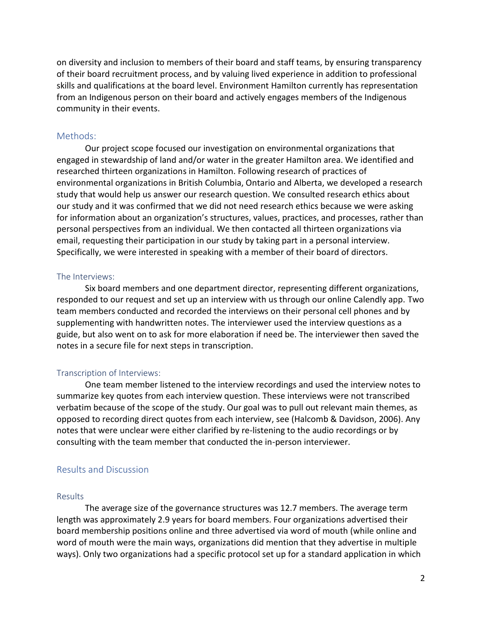on diversity and inclusion to members of their board and staff teams, by ensuring transparency of their board recruitment process, and by valuing lived experience in addition to professional skills and qualifications at the board level. Environment Hamilton currently has representation from an Indigenous person on their board and actively engages members of the Indigenous community in their events.

### Methods:

Our project scope focused our investigation on environmental organizations that engaged in stewardship of land and/or water in the greater Hamilton area. We identified and researched thirteen organizations in Hamilton. Following research of practices of environmental organizations in British Columbia, Ontario and Alberta, we developed a research study that would help us answer our research question. We consulted research ethics about our study and it was confirmed that we did not need research ethics because we were asking for information about an organization's structures, values, practices, and processes, rather than personal perspectives from an individual. We then contacted all thirteen organizations via email, requesting their participation in our study by taking part in a personal interview. Specifically, we were interested in speaking with a member of their board of directors.

#### The Interviews:

Six board members and one department director, representing different organizations, responded to our request and set up an interview with us through our online Calendly app. Two team members conducted and recorded the interviews on their personal cell phones and by supplementing with handwritten notes. The interviewer used the interview questions as a guide, but also went on to ask for more elaboration if need be. The interviewer then saved the notes in a secure file for next steps in transcription.

#### Transcription of Interviews:

One team member listened to the interview recordings and used the interview notes to summarize key quotes from each interview question. These interviews were not transcribed verbatim because of the scope of the study. Our goal was to pull out relevant main themes, as opposed to recording direct quotes from each interview, see (Halcomb & Davidson, 2006). Any notes that were unclear were either clarified by re-listening to the audio recordings or by consulting with the team member that conducted the in-person interviewer.

### Results and Discussion

#### Results

The average size of the governance structures was 12.7 members. The average term length was approximately 2.9 years for board members. Four organizations advertised their board membership positions online and three advertised via word of mouth (while online and word of mouth were the main ways, organizations did mention that they advertise in multiple ways). Only two organizations had a specific protocol set up for a standard application in which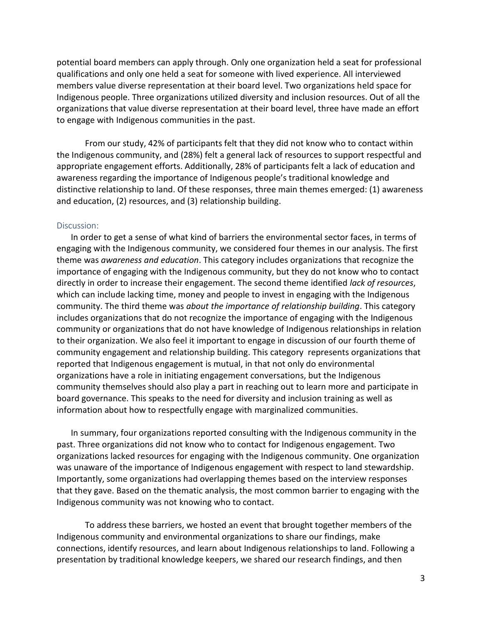potential board members can apply through. Only one organization held a seat for professional qualifications and only one held a seat for someone with lived experience. All interviewed members value diverse representation at their board level. Two organizations held space for Indigenous people. Three organizations utilized diversity and inclusion resources. Out of all the organizations that value diverse representation at their board level, three have made an effort to engage with Indigenous communities in the past.

From our study, 42% of participants felt that they did not know who to contact within the Indigenous community, and (28%) felt a general lack of resources to support respectful and appropriate engagement efforts. Additionally, 28% of participants felt a lack of education and awareness regarding the importance of Indigenous people's traditional knowledge and distinctive relationship to land. Of these responses, three main themes emerged: (1) awareness and education, (2) resources, and (3) relationship building.

#### Discussion:

In order to get a sense of what kind of barriers the environmental sector faces, in terms of engaging with the Indigenous community, we considered four themes in our analysis. The first theme was *awareness and education*. This category includes organizations that recognize the importance of engaging with the Indigenous community, but they do not know who to contact directly in order to increase their engagement. The second theme identified *lack of resources*, which can include lacking time, money and people to invest in engaging with the Indigenous community. The third theme was *about the importance of relationship building*. This category includes organizations that do not recognize the importance of engaging with the Indigenous community or organizations that do not have knowledge of Indigenous relationships in relation to their organization. We also feel it important to engage in discussion of our fourth theme of community engagement and relationship building. This category represents organizations that reported that Indigenous engagement is mutual, in that not only do environmental organizations have a role in initiating engagement conversations, but the Indigenous community themselves should also play a part in reaching out to learn more and participate in board governance. This speaks to the need for diversity and inclusion training as well as information about how to respectfully engage with marginalized communities.

In summary, four organizations reported consulting with the Indigenous community in the past. Three organizations did not know who to contact for Indigenous engagement. Two organizations lacked resources for engaging with the Indigenous community. One organization was unaware of the importance of Indigenous engagement with respect to land stewardship. Importantly, some organizations had overlapping themes based on the interview responses that they gave. Based on the thematic analysis, the most common barrier to engaging with the Indigenous community was not knowing who to contact.

To address these barriers, we hosted an event that brought together members of the Indigenous community and environmental organizations to share our findings, make connections, identify resources, and learn about Indigenous relationships to land. Following a presentation by traditional knowledge keepers, we shared our research findings, and then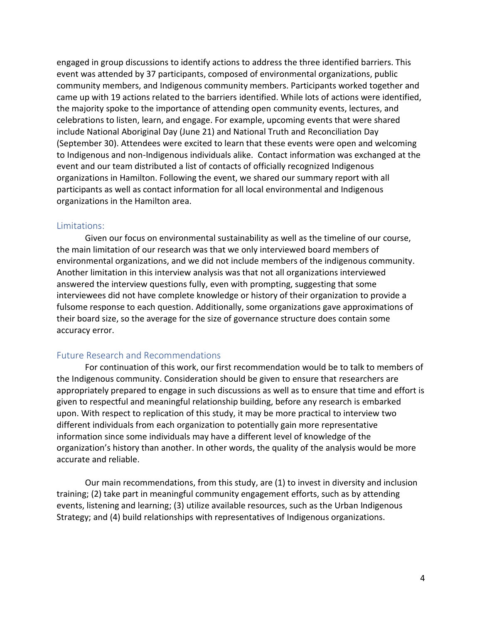engaged in group discussions to identify actions to address the three identified barriers. This event was attended by 37 participants, composed of environmental organizations, public community members, and Indigenous community members. Participants worked together and came up with 19 actions related to the barriers identified. While lots of actions were identified, the majority spoke to the importance of attending open community events, lectures, and celebrations to listen, learn, and engage. For example, upcoming events that were shared include National Aboriginal Day (June 21) and National Truth and Reconciliation Day (September 30). Attendees were excited to learn that these events were open and welcoming to Indigenous and non-Indigenous individuals alike. Contact information was exchanged at the event and our team distributed a list of contacts of officially recognized Indigenous organizations in Hamilton. Following the event, we shared our summary report with all participants as well as contact information for all local environmental and Indigenous organizations in the Hamilton area.

#### Limitations:

Given our focus on environmental sustainability as well as the timeline of our course, the main limitation of our research was that we only interviewed board members of environmental organizations, and we did not include members of the indigenous community. Another limitation in this interview analysis was that not all organizations interviewed answered the interview questions fully, even with prompting, suggesting that some interviewees did not have complete knowledge or history of their organization to provide a fulsome response to each question. Additionally, some organizations gave approximations of their board size, so the average for the size of governance structure does contain some accuracy error.

### Future Research and Recommendations

For continuation of this work, our first recommendation would be to talk to members of the Indigenous community. Consideration should be given to ensure that researchers are appropriately prepared to engage in such discussions as well as to ensure that time and effort is given to respectful and meaningful relationship building, before any research is embarked upon. With respect to replication of this study, it may be more practical to interview two different individuals from each organization to potentially gain more representative information since some individuals may have a different level of knowledge of the organization's history than another. In other words, the quality of the analysis would be more accurate and reliable.

Our main recommendations, from this study, are (1) to invest in diversity and inclusion training; (2) take part in meaningful community engagement efforts, such as by attending events, listening and learning; (3) utilize available resources, such as the Urban Indigenous Strategy; and (4) build relationships with representatives of Indigenous organizations.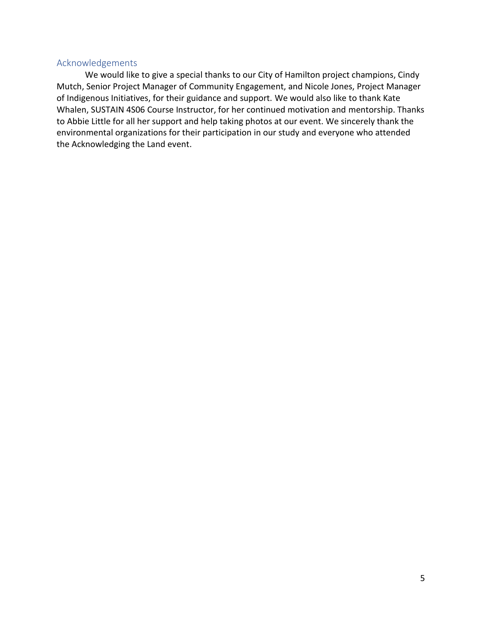### Acknowledgements

We would like to give a special thanks to our City of Hamilton project champions, Cindy Mutch, Senior Project Manager of Community Engagement, and Nicole Jones, Project Manager of Indigenous Initiatives, for their guidance and support. We would also like to thank Kate Whalen, SUSTAIN 4S06 Course Instructor, for her continued motivation and mentorship. Thanks to Abbie Little for all her support and help taking photos at our event. We sincerely thank the environmental organizations for their participation in our study and everyone who attended the Acknowledging the Land event.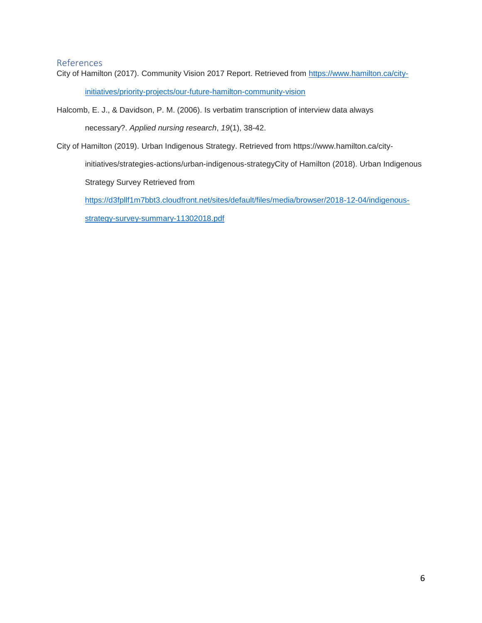### References

City of Hamilton (2017). Community Vision 2017 Report. Retrieved from [https://www.hamilton.ca/city-](https://www.hamilton.ca/city-initiatives/priority-projects/our-future-hamilton-community-vision)

[initiatives/priority-projects/our-future-hamilton-community-vision](https://www.hamilton.ca/city-initiatives/priority-projects/our-future-hamilton-community-vision)

Halcomb, E. J., & Davidson, P. M. (2006). Is verbatim transcription of interview data always

necessary?. *Applied nursing research*, *19*(1), 38-42.

City of Hamilton (2019). Urban Indigenous Strategy. Retrieved from https://www.hamilton.ca/city-

initiatives/strategies-actions/urban-indigenous-strategyCity of Hamilton (2018). Urban Indigenous Strategy Survey Retrieved from

[https://d3fpllf1m7bbt3.cloudfront.net/sites/default/files/media/browser/2018-12-04/indigenous-](https://d3fpllf1m7bbt3.cloudfront.net/sites/default/files/media/browser/2018-12-04/indigenous-strategy-survey-summary-11302018.pdf)

[strategy-survey-summary-11302018.pdf](https://d3fpllf1m7bbt3.cloudfront.net/sites/default/files/media/browser/2018-12-04/indigenous-strategy-survey-summary-11302018.pdf)